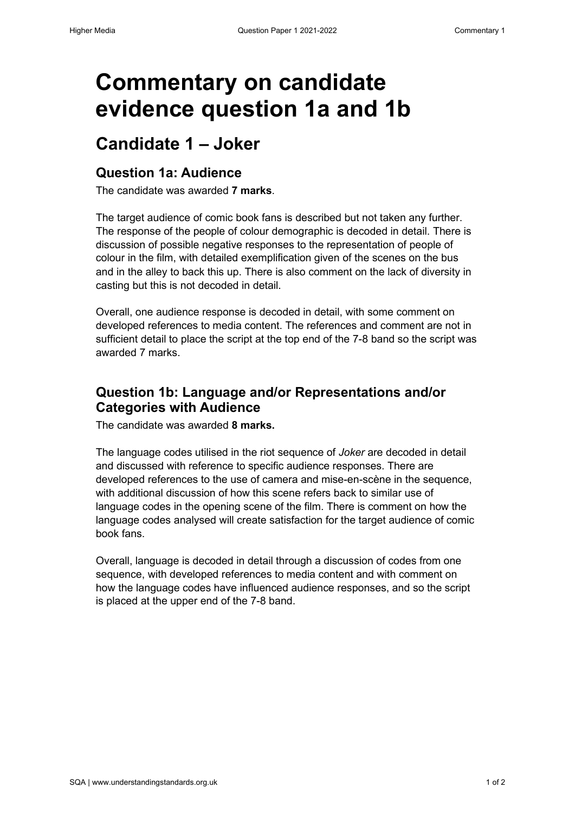# **Commentary on candidate evidence question 1a and 1b**

### **Candidate 1 – Joker**

#### **Question 1a: Audience**

The candidate was awarded **7 marks**.

The target audience of comic book fans is described but not taken any further. The response of the people of colour demographic is decoded in detail. There is discussion of possible negative responses to the representation of people of colour in the film, with detailed exemplification given of the scenes on the bus and in the alley to back this up. There is also comment on the lack of diversity in casting but this is not decoded in detail.

Overall, one audience response is decoded in detail, with some comment on developed references to media content. The references and comment are not in sufficient detail to place the script at the top end of the 7-8 band so the script was awarded 7 marks.

#### **Question 1b: Language and/or Representations and/or Categories with Audience**

The candidate was awarded **8 marks.**

The language codes utilised in the riot sequence of *Joker* are decoded in detail and discussed with reference to specific audience responses. There are developed references to the use of camera and mise-en-scène in the sequence, with additional discussion of how this scene refers back to similar use of language codes in the opening scene of the film. There is comment on how the language codes analysed will create satisfaction for the target audience of comic book fans.

Overall, language is decoded in detail through a discussion of codes from one sequence, with developed references to media content and with comment on how the language codes have influenced audience responses, and so the script is placed at the upper end of the 7-8 band.